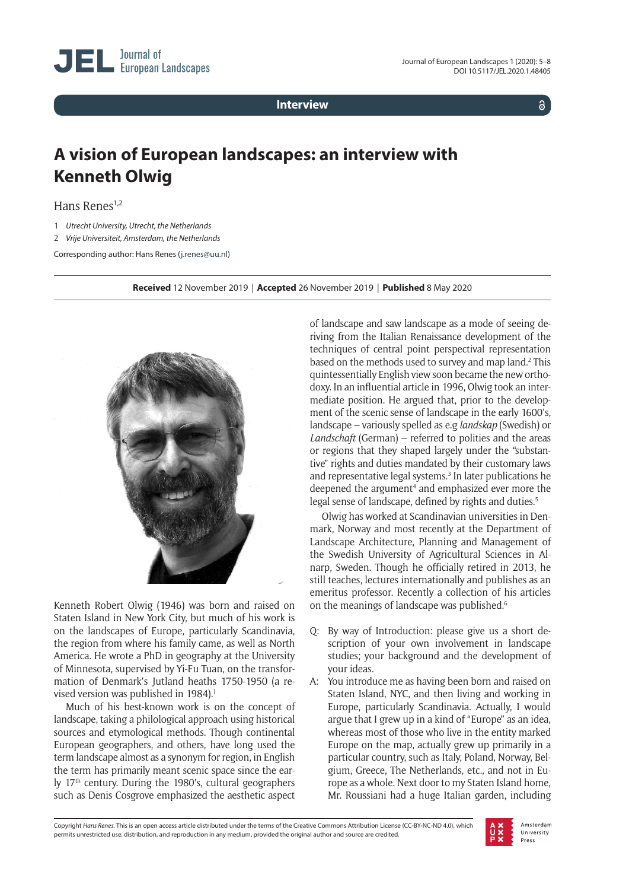**Interview**

 $\delta$ 

## **A vision of European landscapes: an interview with Kenneth Olwig**

Hans Renes<sup>1,2</sup>

- 1 *Utrecht University, Utrecht, the Netherlands*
- 2 *Vrije Universiteit, Amsterdam, the Netherlands*
- Corresponding author: Hans Renes ([j.renes@uu.nl\)](mailto:j.renes@uu.nl)

**Received** 12 November 2019 *|* **Accepted** 26 November 2019 *|* **Published** 8 May 2020



Kenneth Robert Olwig (1946) was born and raised on Staten Island in New York City, but much of his work is on the landscapes of Europe, particularly Scandinavia, the region from where his family came, as well as North America. He wrote a PhD in geography at the University of Minnesota, supervised by Yi-Fu Tuan, on the transformation of Denmark's Jutland heaths 1750-1950 (a revised version was published in 1984).<sup>1</sup>

Much of his best-known work is on the concept of landscape, taking a philological approach using historical sources and etymological methods. Though continental European geographers, and others, have long used the term landscape almost as a synonym for region, in English the term has primarily meant scenic space since the early 17<sup>th</sup> century. During the 1980's, cultural geographers such as Denis Cosgrove emphasized the aesthetic aspect

of landscape and saw landscape as a mode of seeing deriving from the Italian Renaissance development of the techniques of central point perspectival representation based on the methods used to survey and map land.2 This quintessentially English view soon became the new orthodoxy. In an influential article in 1996, Olwig took an intermediate position. He argued that, prior to the development of the scenic sense of landscape in the early 1600's, landscape – variously spelled as e.g *landskap* (Swedish) or *Landschaft* (German) – referred to polities and the areas or regions that they shaped largely under the "substantive" rights and duties mandated by their customary laws and representative legal systems.<sup>3</sup> In later publications he deepened the argument<sup>4</sup> and emphasized ever more the legal sense of landscape, defined by rights and duties.<sup>5</sup>

Olwig has worked at Scandinavian universities in Denmark, Norway and most recently at the Department of Landscape Architecture, Planning and Management of the Swedish University of Agricultural Sciences in Alnarp, Sweden. Though he officially retired in 2013, he still teaches, lectures internationally and publishes as an emeritus professor. Recently a collection of his articles on the meanings of landscape was published.<sup>6</sup>

- Q: By way of Introduction: please give us a short description of your own involvement in landscape studies; your background and the development of your ideas.
- A: You introduce me as having been born and raised on Staten Island, NYC, and then living and working in Europe, particularly Scandinavia. Actually, I would argue that I grew up in a kind of "Europe" as an idea, whereas most of those who live in the entity marked Europe on the map, actually grew up primarily in a particular country, such as Italy, Poland, Norway, Belgium, Greece, The Netherlands, etc., and not in Europe as a whole. Next door to my Staten Island home, Mr. Roussiani had a huge Italian garden, including

Copyright *Hans Renes.* This is an open access article distributed under the terms of the Creative Commons Attribution License (CC-BY-NC-ND 4.0), which permits unrestricted use, distribution, and reproduction in any medium, provided the original author and source are credited.

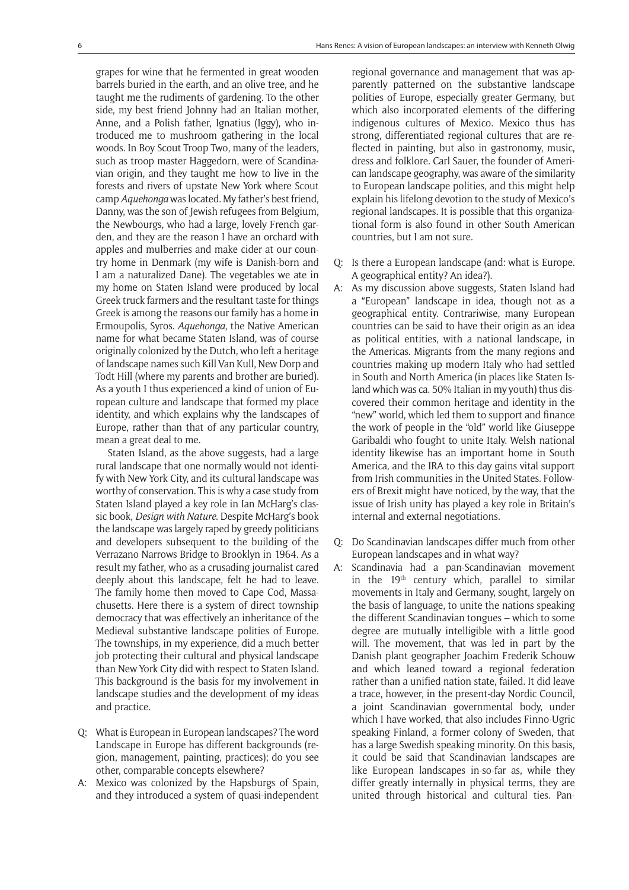grapes for wine that he fermented in great wooden barrels buried in the earth, and an olive tree, and he taught me the rudiments of gardening. To the other side, my best friend Johnny had an Italian mother, Anne, and a Polish father, Ignatius (Iggy), who introduced me to mushroom gathering in the local woods. In Boy Scout Troop Two, many of the leaders, such as troop master Haggedorn, were of Scandinavian origin, and they taught me how to live in the forests and rivers of upstate New York where Scout camp *Aquehonga* was located. My father's best friend, Danny, was the son of Jewish refugees from Belgium, the Newbourgs, who had a large, lovely French garden, and they are the reason I have an orchard with apples and mulberries and make cider at our country home in Denmark (my wife is Danish-born and I am a naturalized Dane). The vegetables we ate in my home on Staten Island were produced by local Greek truck farmers and the resultant taste for things Greek is among the reasons our family has a home in Ermoupolis, Syros. *Aquehonga*, the Native American name for what became Staten Island, was of course originally colonized by the Dutch, who left a heritage of landscape names such Kill Van Kull, New Dorp and Todt Hill (where my parents and brother are buried). As a youth I thus experienced a kind of union of European culture and landscape that formed my place identity, and which explains why the landscapes of Europe, rather than that of any particular country, mean a great deal to me.

Staten Island, as the above suggests, had a large rural landscape that one normally would not identify with New York City, and its cultural landscape was worthy of conservation. This is why a case study from Staten Island played a key role in Ian McHarg's classic book, *Design with Nature*. Despite McHarg's book the landscape was largely raped by greedy politicians and developers subsequent to the building of the Verrazano Narrows Bridge to Brooklyn in 1964. As a result my father, who as a crusading journalist cared deeply about this landscape, felt he had to leave. The family home then moved to Cape Cod, Massachusetts. Here there is a system of direct township democracy that was effectively an inheritance of the Medieval substantive landscape polities of Europe. The townships, in my experience, did a much better job protecting their cultural and physical landscape than New York City did with respect to Staten Island. This background is the basis for my involvement in landscape studies and the development of my ideas and practice.

- Q: What is European in European landscapes? The word Landscape in Europe has different backgrounds (region, management, painting, practices); do you see other, comparable concepts elsewhere?
- A: Mexico was colonized by the Hapsburgs of Spain, and they introduced a system of quasi-independent

regional governance and management that was apparently patterned on the substantive landscape polities of Europe, especially greater Germany, but which also incorporated elements of the differing indigenous cultures of Mexico. Mexico thus has strong, differentiated regional cultures that are reflected in painting, but also in gastronomy, music, dress and folklore. Carl Sauer, the founder of American landscape geography, was aware of the similarity to European landscape polities, and this might help explain his lifelong devotion to the study of Mexico's regional landscapes. It is possible that this organizational form is also found in other South American countries, but I am not sure.

- Q: Is there a European landscape (and: what is Europe. A geographical entity? An idea?).
- A: As my discussion above suggests, Staten Island had a "European" landscape in idea, though not as a geographical entity. Contrariwise, many European countries can be said to have their origin as an idea as political entities, with a national landscape, in the Americas. Migrants from the many regions and countries making up modern Italy who had settled in South and North America (in places like Staten Island which was ca. 50% Italian in my youth) thus discovered their common heritage and identity in the "new" world, which led them to support and finance the work of people in the "old" world like Giuseppe Garibaldi who fought to unite Italy. Welsh national identity likewise has an important home in South America, and the IRA to this day gains vital support from Irish communities in the United States. Followers of Brexit might have noticed, by the way, that the issue of Irish unity has played a key role in Britain's internal and external negotiations.
- Q: Do Scandinavian landscapes differ much from other European landscapes and in what way?
- A: Scandinavia had a pan-Scandinavian movement in the 19th century which, parallel to similar movements in Italy and Germany, sought, largely on the basis of language, to unite the nations speaking the different Scandinavian tongues – which to some degree are mutually intelligible with a little good will. The movement, that was led in part by the Danish plant geographer Joachim Frederik Schouw and which leaned toward a regional federation rather than a unified nation state, failed. It did leave a trace, however, in the present-day Nordic Council, a joint Scandinavian governmental body, under which I have worked, that also includes Finno-Ugric speaking Finland, a former colony of Sweden, that has a large Swedish speaking minority. On this basis, it could be said that Scandinavian landscapes are like European landscapes in-so-far as, while they differ greatly internally in physical terms, they are united through historical and cultural ties. Pan-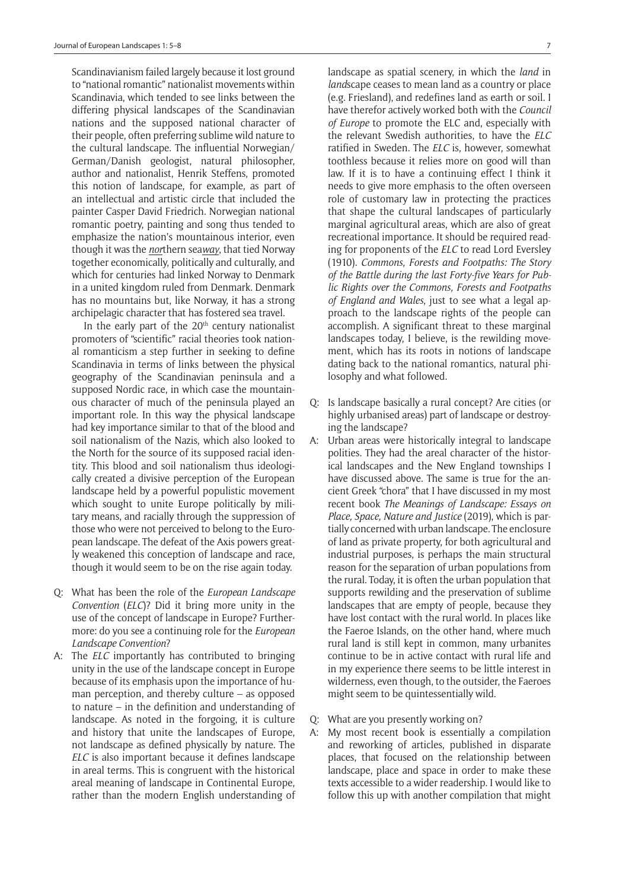Scandinavianism failed largely because it lost ground to "national romantic" nationalist movements within Scandinavia, which tended to see links between the differing physical landscapes of the Scandinavian nations and the supposed national character of their people, often preferring sublime wild nature to the cultural landscape. The influential Norwegian/ German/Danish geologist, natural philosopher, author and nationalist, Henrik Steffens, promoted this notion of landscape, for example, as part of an intellectual and artistic circle that included the painter Casper David Friedrich. Norwegian national romantic poetry, painting and song thus tended to emphasize the nation's mountainous interior, even though it was the *nor*thern sea*way*, that tied Norway together economically, politically and culturally, and which for centuries had linked Norway to Denmark in a united kingdom ruled from Denmark. Denmark has no mountains but, like Norway, it has a strong archipelagic character that has fostered sea travel.

In the early part of the  $20<sup>th</sup>$  century nationalist promoters of "scientific" racial theories took national romanticism a step further in seeking to define Scandinavia in terms of links between the physical geography of the Scandinavian peninsula and a supposed Nordic race, in which case the mountainous character of much of the peninsula played an important role. In this way the physical landscape had key importance similar to that of the blood and soil nationalism of the Nazis, which also looked to the North for the source of its supposed racial identity. This blood and soil nationalism thus ideologically created a divisive perception of the European landscape held by a powerful populistic movement which sought to unite Europe politically by military means, and racially through the suppression of those who were not perceived to belong to the European landscape. The defeat of the Axis powers greatly weakened this conception of landscape and race, though it would seem to be on the rise again today.

- Q: What has been the role of the *European Landscape Convention* (*ELC*)? Did it bring more unity in the use of the concept of landscape in Europe? Furthermore: do you see a continuing role for the *European Landscape Convention*?
- A: The *ELC* importantly has contributed to bringing unity in the use of the landscape concept in Europe because of its emphasis upon the importance of human perception, and thereby culture – as opposed to nature – in the definition and understanding of landscape. As noted in the forgoing, it is culture and history that unite the landscapes of Europe, not landscape as defined physically by nature. The *ELC* is also important because it defines landscape in areal terms. This is congruent with the historical areal meaning of landscape in Continental Europe, rather than the modern English understanding of

landscape as spatial scenery, in which the *land* in *land*scape ceases to mean land as a country or place (e.g. Friesland), and redefines land as earth or soil. I have therefor actively worked both with the *Council of Europe* to promote the ELC and, especially with the relevant Swedish authorities, to have the *ELC* ratified in Sweden. The *ELC* is, however, somewhat toothless because it relies more on good will than law. If it is to have a continuing effect I think it needs to give more emphasis to the often overseen role of customary law in protecting the practices that shape the cultural landscapes of particularly marginal agricultural areas, which are also of great recreational importance. It should be required reading for proponents of the *ELC* to read Lord Eversley (1910). *Commons, Forests and Footpaths: The Story of the Battle during the last Forty-five Years for Public Rights over the Commons, Forests and Footpaths of England and Wales*, just to see what a legal approach to the landscape rights of the people can accomplish. A significant threat to these marginal landscapes today, I believe, is the rewilding movement, which has its roots in notions of landscape dating back to the national romantics, natural philosophy and what followed.

- Q: Is landscape basically a rural concept? Are cities (or highly urbanised areas) part of landscape or destroying the landscape?
- A: Urban areas were historically integral to landscape polities. They had the areal character of the historical landscapes and the New England townships I have discussed above. The same is true for the ancient Greek "chora" that I have discussed in my most recent book *The Meanings of Landscape: Essays on Place, Space, Nature and Justice* (2019), which is partially concerned with urban landscape. The enclosure of land as private property, for both agricultural and industrial purposes, is perhaps the main structural reason for the separation of urban populations from the rural. Today, it is often the urban population that supports rewilding and the preservation of sublime landscapes that are empty of people, because they have lost contact with the rural world. In places like the Faeroe Islands, on the other hand, where much rural land is still kept in common, many urbanites continue to be in active contact with rural life and in my experience there seems to be little interest in wilderness, even though, to the outsider, the Faeroes might seem to be quintessentially wild.
- Q: What are you presently working on?
- A: My most recent book is essentially a compilation and reworking of articles, published in disparate places, that focused on the relationship between landscape, place and space in order to make these texts accessible to a wider readership. I would like to follow this up with another compilation that might